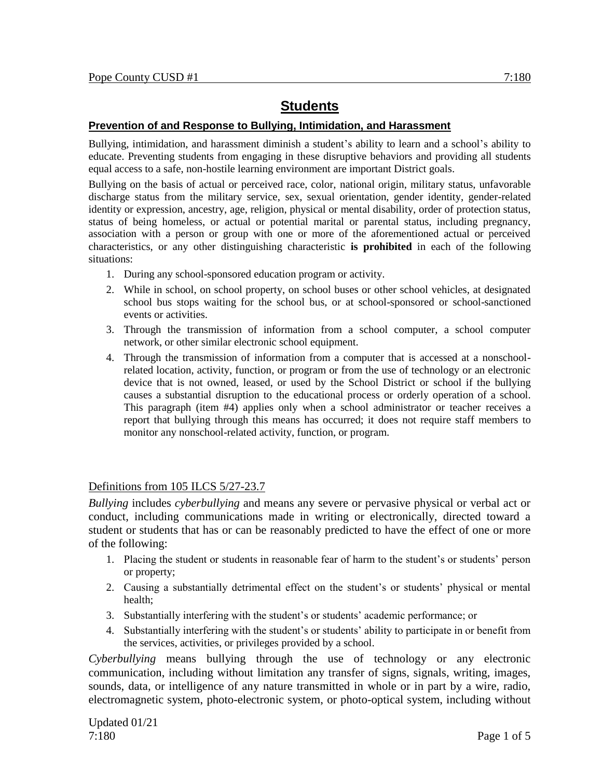# **Students**

# **Prevention of and Response to Bullying, Intimidation, and Harassment**

Bullying, intimidation, and harassment diminish a student's ability to learn and a school's ability to educate. Preventing students from engaging in these disruptive behaviors and providing all students equal access to a safe, non-hostile learning environment are important District goals.

Bullying on the basis of actual or perceived race, color, national origin, military status, unfavorable discharge status from the military service, sex, sexual orientation, gender identity, gender-related identity or expression, ancestry, age, religion, physical or mental disability, order of protection status, status of being homeless, or actual or potential marital or parental status, including pregnancy, association with a person or group with one or more of the aforementioned actual or perceived characteristics, or any other distinguishing characteristic **is prohibited** in each of the following situations:

- 1. During any school-sponsored education program or activity.
- 2. While in school, on school property, on school buses or other school vehicles, at designated school bus stops waiting for the school bus, or at school-sponsored or school-sanctioned events or activities.
- 3. Through the transmission of information from a school computer, a school computer network, or other similar electronic school equipment.
- 4. Through the transmission of information from a computer that is accessed at a nonschoolrelated location, activity, function, or program or from the use of technology or an electronic device that is not owned, leased, or used by the School District or school if the bullying causes a substantial disruption to the educational process or orderly operation of a school. This paragraph (item #4) applies only when a school administrator or teacher receives a report that bullying through this means has occurred; it does not require staff members to monitor any nonschool-related activity, function, or program.

## Definitions from 105 ILCS 5/27-23.7

*Bullying* includes *cyberbullying* and means any severe or pervasive physical or verbal act or conduct, including communications made in writing or electronically, directed toward a student or students that has or can be reasonably predicted to have the effect of one or more of the following:

- 1. Placing the student or students in reasonable fear of harm to the student's or students' person or property;
- 2. Causing a substantially detrimental effect on the student's or students' physical or mental health;
- 3. Substantially interfering with the student's or students' academic performance; or
- 4. Substantially interfering with the student's or students' ability to participate in or benefit from the services, activities, or privileges provided by a school.

*Cyberbullying* means bullying through the use of technology or any electronic communication, including without limitation any transfer of signs, signals, writing, images, sounds, data, or intelligence of any nature transmitted in whole or in part by a wire, radio, electromagnetic system, photo-electronic system, or photo-optical system, including without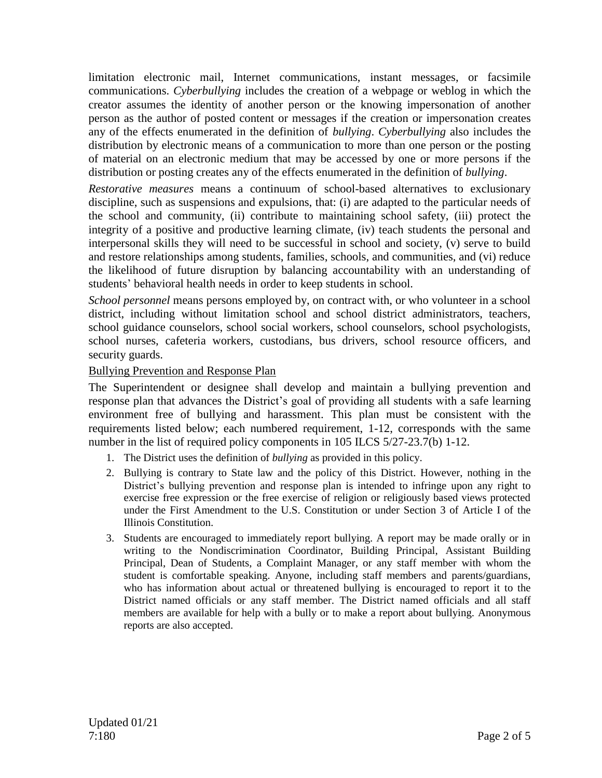limitation electronic mail, Internet communications, instant messages, or facsimile communications. *Cyberbullying* includes the creation of a webpage or weblog in which the creator assumes the identity of another person or the knowing impersonation of another person as the author of posted content or messages if the creation or impersonation creates any of the effects enumerated in the definition of *bullying*. *Cyberbullying* also includes the distribution by electronic means of a communication to more than one person or the posting of material on an electronic medium that may be accessed by one or more persons if the distribution or posting creates any of the effects enumerated in the definition of *bullying*.

*Restorative measures* means a continuum of school-based alternatives to exclusionary discipline, such as suspensions and expulsions, that: (i) are adapted to the particular needs of the school and community, (ii) contribute to maintaining school safety, (iii) protect the integrity of a positive and productive learning climate, (iv) teach students the personal and interpersonal skills they will need to be successful in school and society, (v) serve to build and restore relationships among students, families, schools, and communities, and (vi) reduce the likelihood of future disruption by balancing accountability with an understanding of students' behavioral health needs in order to keep students in school.

*School personnel* means persons employed by, on contract with, or who volunteer in a school district, including without limitation school and school district administrators, teachers, school guidance counselors, school social workers, school counselors, school psychologists, school nurses, cafeteria workers, custodians, bus drivers, school resource officers, and security guards.

## Bullying Prevention and Response Plan

The Superintendent or designee shall develop and maintain a bullying prevention and response plan that advances the District's goal of providing all students with a safe learning environment free of bullying and harassment. This plan must be consistent with the requirements listed below; each numbered requirement, 1-12, corresponds with the same number in the list of required policy components in 105 ILCS 5/27-23.7(b) 1-12.

- 1. The District uses the definition of *bullying* as provided in this policy.
- 2. Bullying is contrary to State law and the policy of this District. However, nothing in the District's bullying prevention and response plan is intended to infringe upon any right to exercise free expression or the free exercise of religion or religiously based views protected under the First Amendment to the U.S. Constitution or under Section 3 of Article I of the Illinois Constitution.
- 3. Students are encouraged to immediately report bullying. A report may be made orally or in writing to the Nondiscrimination Coordinator, Building Principal, Assistant Building Principal, Dean of Students, a Complaint Manager, or any staff member with whom the student is comfortable speaking. Anyone, including staff members and parents/guardians, who has information about actual or threatened bullying is encouraged to report it to the District named officials or any staff member. The District named officials and all staff members are available for help with a bully or to make a report about bullying. Anonymous reports are also accepted.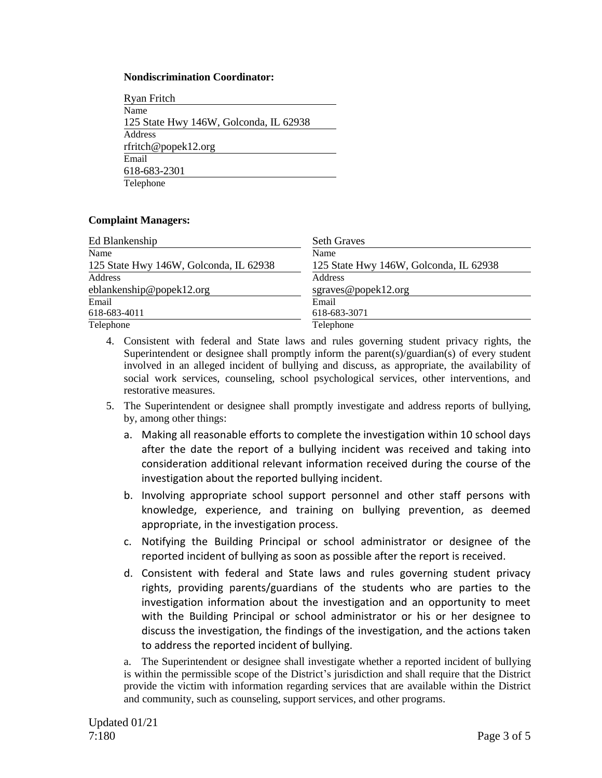#### **Nondiscrimination Coordinator:**

| <b>Ryan Fritch</b>                     |
|----------------------------------------|
| Name                                   |
| 125 State Hwy 146W, Golconda, IL 62938 |
| Address                                |
| rfritch@popek12.org                    |
| Email                                  |
| 618-683-2301                           |
| Telephone                              |
|                                        |

### **Complaint Managers:**

| Ed Blankenship                         | <b>Seth Graves</b>                     |
|----------------------------------------|----------------------------------------|
| Name                                   | Name                                   |
| 125 State Hwy 146W, Golconda, IL 62938 | 125 State Hwy 146W, Golconda, IL 62938 |
| Address                                | Address                                |
| eblankenship@popek12.org               | sgraves@popek12.org                    |
| Email                                  | Email                                  |
| 618-683-4011                           | 618-683-3071                           |
| Telephone                              | Telephone                              |

- 4. Consistent with federal and State laws and rules governing student privacy rights, the Superintendent or designee shall promptly inform the parent(s)/guardian(s) of every student involved in an alleged incident of bullying and discuss, as appropriate, the availability of social work services, counseling, school psychological services, other interventions, and restorative measures.
- 5. The Superintendent or designee shall promptly investigate and address reports of bullying, by, among other things:
	- a. Making all reasonable efforts to complete the investigation within 10 school days after the date the report of a bullying incident was received and taking into consideration additional relevant information received during the course of the investigation about the reported bullying incident.
	- b. Involving appropriate school support personnel and other staff persons with knowledge, experience, and training on bullying prevention, as deemed appropriate, in the investigation process.
	- c. Notifying the Building Principal or school administrator or designee of the reported incident of bullying as soon as possible after the report is received.
	- d. Consistent with federal and State laws and rules governing student privacy rights, providing parents/guardians of the students who are parties to the investigation information about the investigation and an opportunity to meet with the Building Principal or school administrator or his or her designee to discuss the investigation, the findings of the investigation, and the actions taken to address the reported incident of bullying.

a. The Superintendent or designee shall investigate whether a reported incident of bullying is within the permissible scope of the District's jurisdiction and shall require that the District provide the victim with information regarding services that are available within the District and community, such as counseling, support services, and other programs.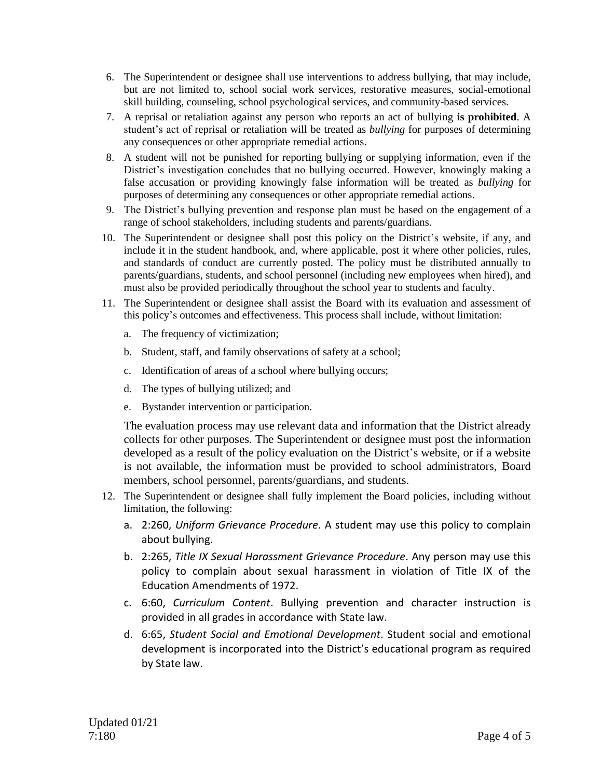- 6. The Superintendent or designee shall use interventions to address bullying, that may include, but are not limited to, school social work services, restorative measures, social-emotional skill building, counseling, school psychological services, and community-based services.
- 7. A reprisal or retaliation against any person who reports an act of bullying **is prohibited**. A student's act of reprisal or retaliation will be treated as *bullying* for purposes of determining any consequences or other appropriate remedial actions.
- 8. A student will not be punished for reporting bullying or supplying information, even if the District's investigation concludes that no bullying occurred. However, knowingly making a false accusation or providing knowingly false information will be treated as *bullying* for purposes of determining any consequences or other appropriate remedial actions.
- 9. The District's bullying prevention and response plan must be based on the engagement of a range of school stakeholders, including students and parents/guardians.
- 10. The Superintendent or designee shall post this policy on the District's website, if any, and include it in the student handbook, and, where applicable, post it where other policies, rules, and standards of conduct are currently posted. The policy must be distributed annually to parents/guardians, students, and school personnel (including new employees when hired), and must also be provided periodically throughout the school year to students and faculty.
- 11. The Superintendent or designee shall assist the Board with its evaluation and assessment of this policy's outcomes and effectiveness. This process shall include, without limitation:
	- a. The frequency of victimization;
	- b. Student, staff, and family observations of safety at a school;
	- c. Identification of areas of a school where bullying occurs;
	- d. The types of bullying utilized; and
	- e. Bystander intervention or participation.

The evaluation process may use relevant data and information that the District already collects for other purposes. The Superintendent or designee must post the information developed as a result of the policy evaluation on the District's website, or if a website is not available, the information must be provided to school administrators, Board members, school personnel, parents/guardians, and students.

- 12. The Superintendent or designee shall fully implement the Board policies, including without limitation, the following:
	- a. 2:260, *Uniform Grievance Procedure*. A student may use this policy to complain about bullying.
	- b. 2:265, *Title IX Sexual Harassment Grievance Procedure*. Any person may use this policy to complain about sexual harassment in violation of Title IX of the Education Amendments of 1972.
	- c. 6:60, *Curriculum Content*. Bullying prevention and character instruction is provided in all grades in accordance with State law.
	- d. 6:65, *Student Social and Emotional Development*. Student social and emotional development is incorporated into the District's educational program as required by State law.